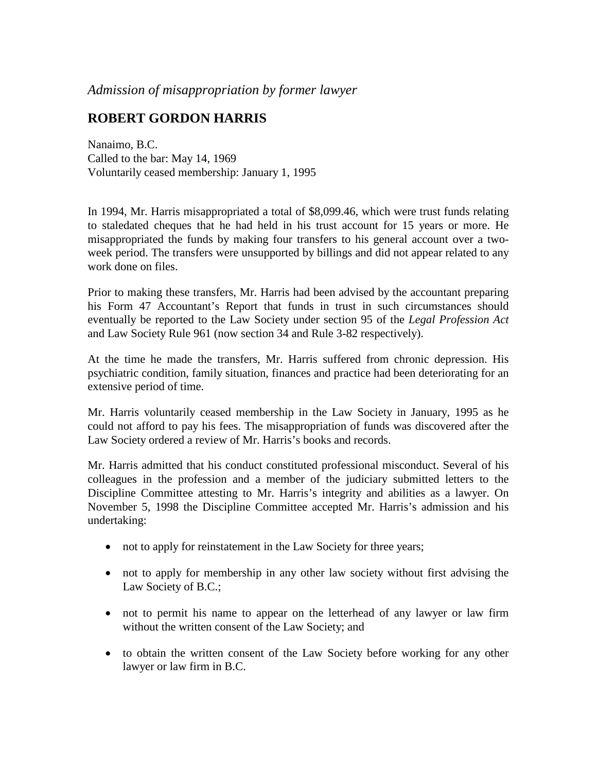*Admission of misappropriation by former lawyer*

## **ROBERT GORDON HARRIS**

Nanaimo, B.C. Called to the bar: May 14, 1969 Voluntarily ceased membership: January 1, 1995

In 1994, Mr. Harris misappropriated a total of \$8,099.46, which were trust funds relating to staledated cheques that he had held in his trust account for 15 years or more. He misappropriated the funds by making four transfers to his general account over a twoweek period. The transfers were unsupported by billings and did not appear related to any work done on files.

Prior to making these transfers, Mr. Harris had been advised by the accountant preparing his Form 47 Accountant's Report that funds in trust in such circumstances should eventually be reported to the Law Society under section 95 of the *Legal Profession Act*  and Law Society Rule 961 (now section 34 and Rule 3-82 respectively).

At the time he made the transfers, Mr. Harris suffered from chronic depression. His psychiatric condition, family situation, finances and practice had been deteriorating for an extensive period of time.

Mr. Harris voluntarily ceased membership in the Law Society in January, 1995 as he could not afford to pay his fees. The misappropriation of funds was discovered after the Law Society ordered a review of Mr. Harris's books and records.

Mr. Harris admitted that his conduct constituted professional misconduct. Several of his colleagues in the profession and a member of the judiciary submitted letters to the Discipline Committee attesting to Mr. Harris's integrity and abilities as a lawyer. On November 5, 1998 the Discipline Committee accepted Mr. Harris's admission and his undertaking:

- not to apply for reinstatement in the Law Society for three years;
- not to apply for membership in any other law society without first advising the Law Society of B.C.;
- not to permit his name to appear on the letterhead of any lawyer or law firm without the written consent of the Law Society; and
- to obtain the written consent of the Law Society before working for any other lawyer or law firm in B.C.